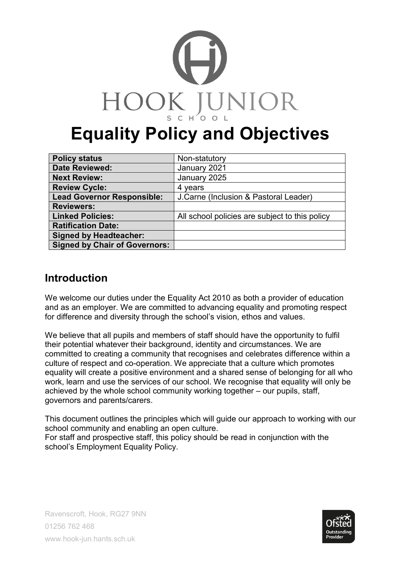

# **Equality Policy and Objectives**

| <b>Policy status</b>                 | Non-statutory                                  |
|--------------------------------------|------------------------------------------------|
| <b>Date Reviewed:</b>                | January 2021                                   |
| <b>Next Review:</b>                  | January 2025                                   |
| <b>Review Cycle:</b>                 | 4 years                                        |
| <b>Lead Governor Responsible:</b>    | J. Carne (Inclusion & Pastoral Leader)         |
| <b>Reviewers:</b>                    |                                                |
| <b>Linked Policies:</b>              | All school policies are subject to this policy |
| <b>Ratification Date:</b>            |                                                |
| <b>Signed by Headteacher:</b>        |                                                |
| <b>Signed by Chair of Governors:</b> |                                                |

# **Introduction**

We welcome our duties under the Equality Act 2010 as both a provider of education and as an employer. We are committed to advancing equality and promoting respect for difference and diversity through the school's vision, ethos and values.

We believe that all pupils and members of staff should have the opportunity to fulfil their potential whatever their background, identity and circumstances. We are committed to creating a community that recognises and celebrates difference within a culture of respect and co-operation. We appreciate that a culture which promotes equality will create a positive environment and a shared sense of belonging for all who work, learn and use the services of our school. We recognise that equality will only be achieved by the whole school community working together – our pupils, staff, governors and parents/carers.

This document outlines the principles which will guide our approach to working with our school community and enabling an open culture. For staff and prospective staff, this policy should be read in conjunction with the

school's Employment Equality Policy.

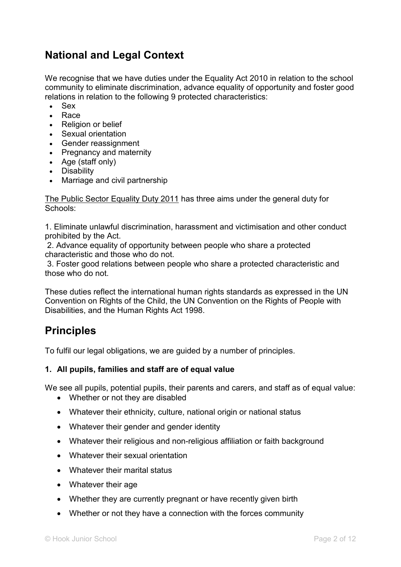# **National and Legal Context**

We recognise that we have duties under the Equality Act 2010 in relation to the school community to eliminate discrimination, advance equality of opportunity and foster good relations in relation to the following 9 protected characteristics:

- Sex
- Race
- Religion or belief
- Sexual orientation
- Gender reassignment
- Pregnancy and maternity
- Age (staff only)
- Disability
- Marriage and civil partnership

The Public Sector Equality Duty 2011 has three aims under the general duty for Schools:

1. Eliminate unlawful discrimination, harassment and victimisation and other conduct prohibited by the Act.

2. Advance equality of opportunity between people who share a protected characteristic and those who do not.

3. Foster good relations between people who share a protected characteristic and those who do not.

These duties reflect the international human rights standards as expressed in the UN Convention on Rights of the Child, the UN Convention on the Rights of People with Disabilities, and the Human Rights Act 1998.

# **Principles**

To fulfil our legal obligations, we are guided by a number of principles.

#### **1. All pupils, families and staff are of equal value**

We see all pupils, potential pupils, their parents and carers, and staff as of equal value:

- Whether or not they are disabled
- Whatever their ethnicity, culture, national origin or national status
- Whatever their gender and gender identity
- Whatever their religious and non-religious affiliation or faith background
- Whatever their sexual orientation
- Whatever their marital status
- Whatever their age
- Whether they are currently pregnant or have recently given birth
- Whether or not they have a connection with the forces community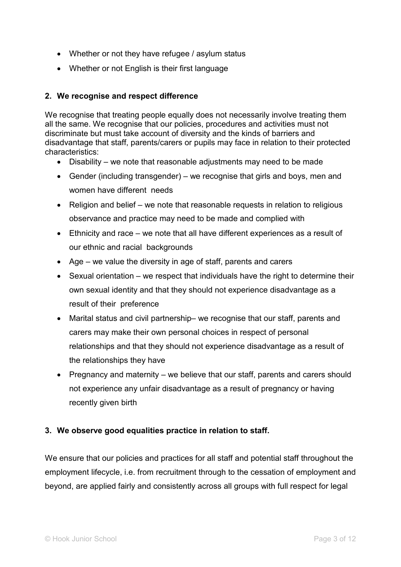- Whether or not they have refugee / asylum status
- Whether or not English is their first language

#### **2. We recognise and respect difference**

We recognise that treating people equally does not necessarily involve treating them all the same. We recognise that our policies, procedures and activities must not discriminate but must take account of diversity and the kinds of barriers and disadvantage that staff, parents/carers or pupils may face in relation to their protected characteristics:

- Disability we note that reasonable adjustments may need to be made
- Gender (including transgender) we recognise that girls and boys, men and women have different needs
- Religion and belief we note that reasonable requests in relation to religious observance and practice may need to be made and complied with
- Ethnicity and race we note that all have different experiences as a result of our ethnic and racial backgrounds
- Age we value the diversity in age of staff, parents and carers
- Sexual orientation we respect that individuals have the right to determine their own sexual identity and that they should not experience disadvantage as a result of their preference
- Marital status and civil partnership– we recognise that our staff, parents and carers may make their own personal choices in respect of personal relationships and that they should not experience disadvantage as a result of the relationships they have
- Pregnancy and maternity we believe that our staff, parents and carers should not experience any unfair disadvantage as a result of pregnancy or having recently given birth

#### **3. We observe good equalities practice in relation to staff.**

We ensure that our policies and practices for all staff and potential staff throughout the employment lifecycle, i.e. from recruitment through to the cessation of employment and beyond, are applied fairly and consistently across all groups with full respect for legal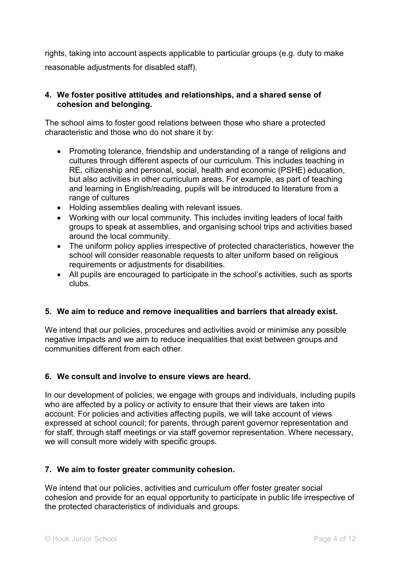rights, taking into account aspects applicable to particular groups (e.g. duty to make reasonable adjustments for disabled staff).

#### **4. We foster positive attitudes and relationships, and a shared sense of cohesion and belonging.**

The school aims to foster good relations between those who share a protected characteristic and those who do not share it by:

- Promoting tolerance, friendship and understanding of a range of religions and cultures through different aspects of our curriculum. This includes teaching in RE, citizenship and personal, social, health and economic (PSHE) education, but also activities in other curriculum areas. For example, as part of teaching and learning in English/reading, pupils will be introduced to literature from a range of cultures
- Holding assemblies dealing with relevant issues.
- Working with our local community. This includes inviting leaders of local faith groups to speak at assemblies, and organising school trips and activities based around the local community.
- The uniform policy applies irrespective of protected characteristics, however the school will consider reasonable requests to alter uniform based on religious requirements or adjustments for disabilities.
- All pupils are encouraged to participate in the school's activities, such as sports clubs.

#### **5. We aim to reduce and remove inequalities and barriers that already exist.**

We intend that our policies, procedures and activities avoid or minimise any possible negative impacts and we aim to reduce inequalities that exist between groups and communities different from each other.

#### **6. We consult and involve to ensure views are heard.**

In our development of policies, we engage with groups and individuals, including pupils who are affected by a policy or activity to ensure that their views are taken into account. For policies and activities affecting pupils, we will take account of views expressed at school council; for parents, through parent governor representation and for staff, through staff meetings or via staff governor representation. Where necessary, we will consult more widely with specific groups.

#### **7. We aim to foster greater community cohesion.**

We intend that our policies, activities and curriculum offer foster greater social cohesion and provide for an equal opportunity to participate in public life irrespective of the protected characteristics of individuals and groups.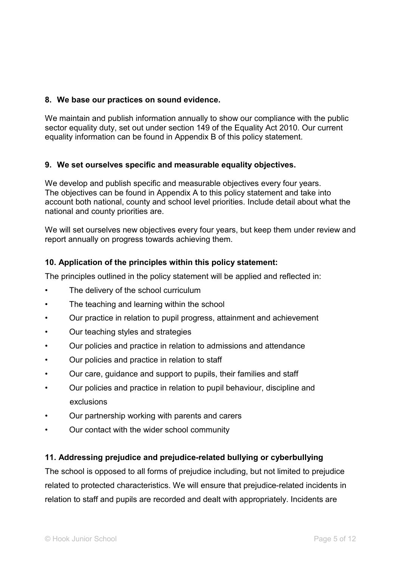#### **8. We base our practices on sound evidence.**

We maintain and publish information annually to show our compliance with the public sector equality duty, set out under section 149 of the Equality Act 2010. Our current equality information can be found in Appendix B of this policy statement.

#### **9. We set ourselves specific and measurable equality objectives.**

We develop and publish specific and measurable objectives every four years. The objectives can be found in Appendix A to this policy statement and take into account both national, county and school level priorities. Include detail about what the national and county priorities are.

We will set ourselves new objectives every four years, but keep them under review and report annually on progress towards achieving them.

#### **10. Application of the principles within this policy statement:**

The principles outlined in the policy statement will be applied and reflected in:

- The delivery of the school curriculum
- The teaching and learning within the school
- Our practice in relation to pupil progress, attainment and achievement
- Our teaching styles and strategies
- Our policies and practice in relation to admissions and attendance
- Our policies and practice in relation to staff
- Our care, guidance and support to pupils, their families and staff
- Our policies and practice in relation to pupil behaviour, discipline and exclusions
- Our partnership working with parents and carers
- Our contact with the wider school community

#### **11. Addressing prejudice and prejudice-related bullying or cyberbullying**

The school is opposed to all forms of prejudice including, but not limited to prejudice related to protected characteristics. We will ensure that prejudice-related incidents in relation to staff and pupils are recorded and dealt with appropriately. Incidents are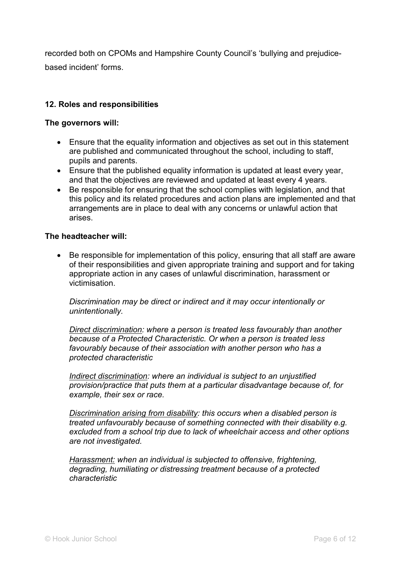recorded both on CPOMs and Hampshire County Council's 'bullying and prejudicebased incident' forms.

#### **12. Roles and responsibilities**

#### **The governors will:**

- Ensure that the equality information and objectives as set out in this statement are published and communicated throughout the school, including to staff, pupils and parents.
- Ensure that the published equality information is updated at least every year, and that the objectives are reviewed and updated at least every 4 years.
- Be responsible for ensuring that the school complies with legislation, and that this policy and its related procedures and action plans are implemented and that arrangements are in place to deal with any concerns or unlawful action that arises.

#### **The headteacher will:**

• Be responsible for implementation of this policy, ensuring that all staff are aware of their responsibilities and given appropriate training and support and for taking appropriate action in any cases of unlawful discrimination, harassment or victimisation.

*Discrimination may be direct or indirect and it may occur intentionally or unintentionally.* 

*Direct discrimination: where a person is treated less favourably than another because of a Protected Characteristic. Or when a person is treated less favourably because of their association with another person who has a protected characteristic* 

*Indirect discrimination: where an individual is subject to an unjustified provision/practice that puts them at a particular disadvantage because of, for example, their sex or race.* 

*Discrimination arising from disability: this occurs when a disabled person is treated unfavourably because of something connected with their disability e.g. excluded from a school trip due to lack of wheelchair access and other options are not investigated.*

*Harassment: when an individual is subjected to offensive, frightening, degrading, humiliating or distressing treatment because of a protected characteristic*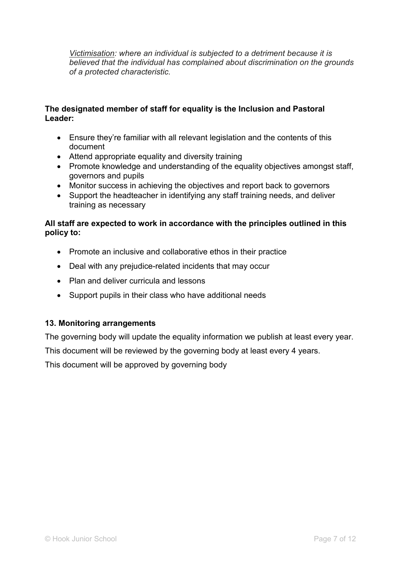*Victimisation: where an individual is subjected to a detriment because it is believed that the individual has complained about discrimination on the grounds of a protected characteristic.*

#### **The designated member of staff for equality is the Inclusion and Pastoral Leader:**

- Ensure they're familiar with all relevant legislation and the contents of this document
- Attend appropriate equality and diversity training
- Promote knowledge and understanding of the equality objectives amongst staff, governors and pupils
- Monitor success in achieving the objectives and report back to governors
- Support the headteacher in identifying any staff training needs, and deliver training as necessary

#### **All staff are expected to work in accordance with the principles outlined in this policy to:**

- Promote an inclusive and collaborative ethos in their practice
- Deal with any prejudice-related incidents that may occur
- Plan and deliver curricula and lessons
- Support pupils in their class who have additional needs

#### **13. Monitoring arrangements**

The governing body will update the equality information we publish at least every year.

This document will be reviewed by the governing body at least every 4 years.

This document will be approved by governing body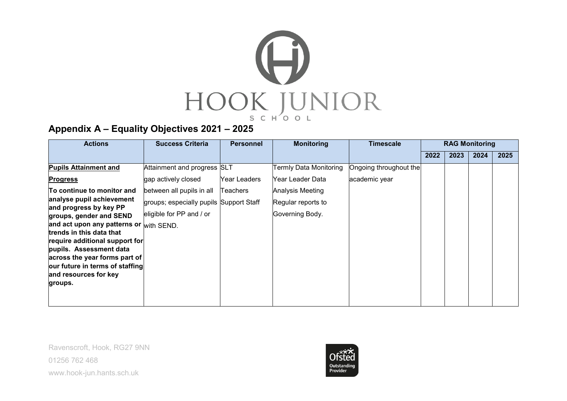

## **Appendix A – Equality Objectives 2021 – 2025**

| <b>Actions</b>                                             | <b>Success Criteria</b>                 | <b>Personnel</b> | <b>Monitoring</b>      | Timescale              |      |      | <b>RAG Monitoring</b> |      |
|------------------------------------------------------------|-----------------------------------------|------------------|------------------------|------------------------|------|------|-----------------------|------|
|                                                            |                                         |                  |                        |                        | 2022 | 2023 | 2024                  | 2025 |
| <b>Pupils Attainment and</b>                               | Attainment and progress SLT             |                  | Termly Data Monitoring | Ongoing throughout the |      |      |                       |      |
| <b>Progress</b>                                            | gap actively closed                     | Year Leaders     | Year Leader Data       | academic year          |      |      |                       |      |
| To continue to monitor and                                 | between all pupils in all               | <b>Teachers</b>  | Analysis Meeting       |                        |      |      |                       |      |
| analyse pupil achievement                                  | groups; especially pupils Support Staff |                  | Regular reports to     |                        |      |      |                       |      |
| and progress by key PP<br>groups, gender and SEND          | eligible for PP and / or                |                  | Governing Body.        |                        |      |      |                       |      |
| and act upon any patterns or with SEND.                    |                                         |                  |                        |                        |      |      |                       |      |
| trends in this data that<br>require additional support for |                                         |                  |                        |                        |      |      |                       |      |
| pupils. Assessment data                                    |                                         |                  |                        |                        |      |      |                       |      |
| across the year forms part of                              |                                         |                  |                        |                        |      |      |                       |      |
| our future in terms of staffing<br>and resources for key   |                                         |                  |                        |                        |      |      |                       |      |
| groups.                                                    |                                         |                  |                        |                        |      |      |                       |      |
|                                                            |                                         |                  |                        |                        |      |      |                       |      |
|                                                            |                                         |                  |                        |                        |      |      |                       |      |

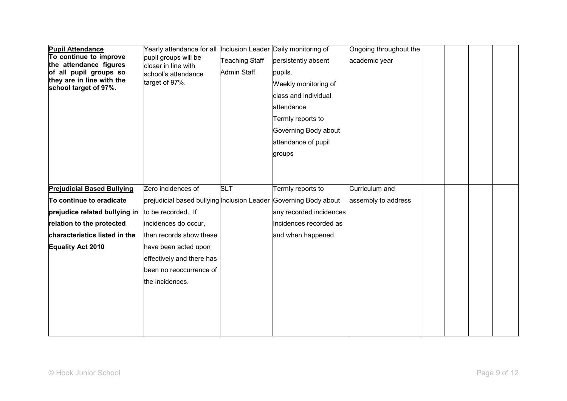| <b>Pupil Attendance</b><br>To continue to improve<br>the attendance figures<br>of all pupil groups so<br>they are in line with the<br>school target of 97%. | Yearly attendance for all  Inclusion Leader Daily monitoring of<br>pupil groups will be<br>closer in line with<br>school's attendance<br>target of 97%. | <b>Teaching Staff</b><br><b>Admin Staff</b> | persistently absent<br>pupils.<br>Weekly monitoring of<br>class and individual<br>attendance<br>Termly reports to<br>Governing Body about<br>attendance of pupil<br>groups | Ongoing throughout the<br>academic year |  |  |
|-------------------------------------------------------------------------------------------------------------------------------------------------------------|---------------------------------------------------------------------------------------------------------------------------------------------------------|---------------------------------------------|----------------------------------------------------------------------------------------------------------------------------------------------------------------------------|-----------------------------------------|--|--|
| <b>Prejudicial Based Bullying</b>                                                                                                                           | Zero incidences of                                                                                                                                      | <b>SLT</b>                                  | Termly reports to                                                                                                                                                          | Curriculum and                          |  |  |
| To continue to eradicate                                                                                                                                    | prejudicial based bullying Inclusion Leader Governing Body about                                                                                        |                                             |                                                                                                                                                                            | assembly to address                     |  |  |
| prejudice related bullying in                                                                                                                               | to be recorded. If                                                                                                                                      |                                             | any recorded incidences                                                                                                                                                    |                                         |  |  |
| relation to the protected                                                                                                                                   | incidences do occur,                                                                                                                                    |                                             | Incidences recorded as                                                                                                                                                     |                                         |  |  |
| characteristics listed in the                                                                                                                               | then records show these                                                                                                                                 |                                             | and when happened.                                                                                                                                                         |                                         |  |  |
| <b>Equality Act 2010</b>                                                                                                                                    | have been acted upon                                                                                                                                    |                                             |                                                                                                                                                                            |                                         |  |  |
|                                                                                                                                                             | effectively and there has                                                                                                                               |                                             |                                                                                                                                                                            |                                         |  |  |
|                                                                                                                                                             | been no reoccurrence of                                                                                                                                 |                                             |                                                                                                                                                                            |                                         |  |  |
|                                                                                                                                                             | the incidences.                                                                                                                                         |                                             |                                                                                                                                                                            |                                         |  |  |
|                                                                                                                                                             |                                                                                                                                                         |                                             |                                                                                                                                                                            |                                         |  |  |
|                                                                                                                                                             |                                                                                                                                                         |                                             |                                                                                                                                                                            |                                         |  |  |
|                                                                                                                                                             |                                                                                                                                                         |                                             |                                                                                                                                                                            |                                         |  |  |
|                                                                                                                                                             |                                                                                                                                                         |                                             |                                                                                                                                                                            |                                         |  |  |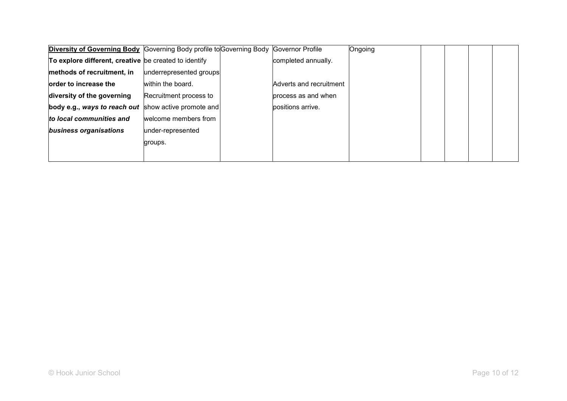|                                                       | <b>Diversity of Governing Body</b> Governing Body profile to Governing Body Governor Profile |                         | Ongoing |  |  |
|-------------------------------------------------------|----------------------------------------------------------------------------------------------|-------------------------|---------|--|--|
| To explore different, creative be created to identify |                                                                                              | completed annually.     |         |  |  |
| methods of recruitment, in                            | underrepresented groups                                                                      |                         |         |  |  |
| order to increase the                                 | within the board.                                                                            | Adverts and recruitment |         |  |  |
| diversity of the governing                            | Recruitment process to                                                                       | process as and when     |         |  |  |
| body e.g., ways to reach out                          | show active promote and                                                                      | positions arrive.       |         |  |  |
| to local communities and                              | welcome members from                                                                         |                         |         |  |  |
| business organisations                                | under-represented                                                                            |                         |         |  |  |
|                                                       | groups.                                                                                      |                         |         |  |  |
|                                                       |                                                                                              |                         |         |  |  |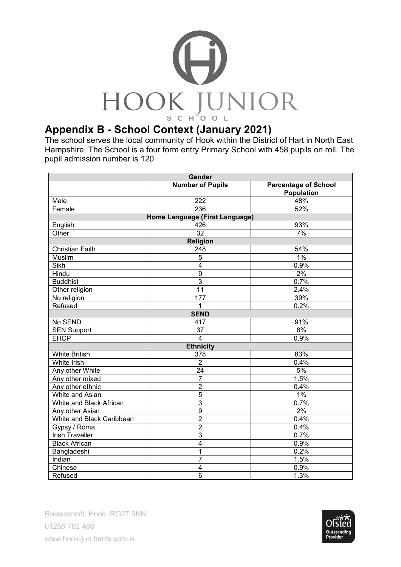

The school serves the local community of Hook within the District of Hart in North East Hampshire. The School is a four form entry Primary School with 458 pupils on roll. The pupil admission number is 120

| Gender                         |                         |                                                  |  |  |  |  |
|--------------------------------|-------------------------|--------------------------------------------------|--|--|--|--|
|                                | <b>Number of Pupils</b> | <b>Percentage of School</b><br><b>Population</b> |  |  |  |  |
| Male                           | 222                     | 48%                                              |  |  |  |  |
| Female                         | 236                     | 52%                                              |  |  |  |  |
| Home Language (First Language) |                         |                                                  |  |  |  |  |
| English                        | 426                     | 93%                                              |  |  |  |  |
| Other                          | $\overline{32}$         | 7%                                               |  |  |  |  |
|                                | Religion                |                                                  |  |  |  |  |
| <b>Christian Faith</b>         | 248                     | 54%                                              |  |  |  |  |
| Muslim                         | 5                       | $1\%$                                            |  |  |  |  |
| Sikh                           | $\overline{4}$          | 0.9%                                             |  |  |  |  |
| Hindu                          | $\boldsymbol{9}$        | $2\%$                                            |  |  |  |  |
| <b>Buddhist</b>                | $\overline{3}$          | 0.7%                                             |  |  |  |  |
| Other religion                 | $\overline{11}$         | 2.4%                                             |  |  |  |  |
| No religion                    | 177                     | 39%                                              |  |  |  |  |
| Refused                        | 1                       | 0.2%                                             |  |  |  |  |
| <b>SEND</b>                    |                         |                                                  |  |  |  |  |
| No SEND                        | 417                     | 91%                                              |  |  |  |  |
| <b>SEN Support</b>             | 37                      | 8%                                               |  |  |  |  |
| <b>EHCP</b>                    | $\overline{4}$          | 0.9%                                             |  |  |  |  |
|                                | <b>Ethnicity</b>        |                                                  |  |  |  |  |
| <b>White British</b>           | 378                     | 83%                                              |  |  |  |  |
| <b>White Irish</b>             | $\overline{2}$          | 0.4%                                             |  |  |  |  |
| Any other White                | 24                      | 5%                                               |  |  |  |  |
| Any other mixed                | $\overline{7}$          | 1.5%                                             |  |  |  |  |
| Any other ethnic               | $\overline{2}$          | 0.4%                                             |  |  |  |  |
| White and Asian                | $\overline{5}$          | $1\%$                                            |  |  |  |  |
| White and Black African        | $\overline{3}$          | 0.7%                                             |  |  |  |  |
| Any other Asian                | $\overline{9}$          | 2%                                               |  |  |  |  |
| White and Black Caribbean      | $\overline{2}$          | 0.4%                                             |  |  |  |  |
| Gypsy / Roma                   | $\overline{2}$          | 0.4%                                             |  |  |  |  |
| <b>Irish Traveller</b>         | $\overline{3}$          | 0.7%                                             |  |  |  |  |
| <b>Black African</b>           | 4                       | 0.9%                                             |  |  |  |  |
| Bangladeshi                    | 1                       | 0.2%                                             |  |  |  |  |
| <b>Indian</b>                  | $\overline{7}$          | 1.5%                                             |  |  |  |  |
| Chinese                        | 4                       | 0.9%                                             |  |  |  |  |
| Refused                        | $\overline{6}$          | 1.3%                                             |  |  |  |  |